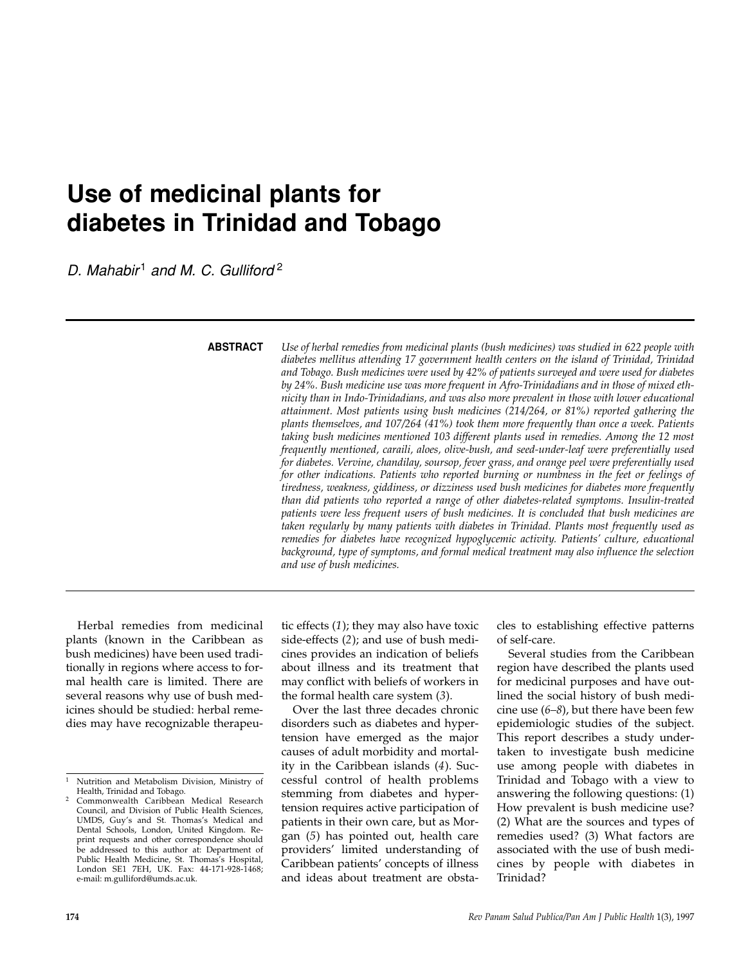# **Use of medicinal plants for diabetes in Trinidad and Tobago**

*D. Mahabir* <sup>1</sup> *and M. C. Gulliford* <sup>2</sup>

**ABSTRACT**

*Use of herbal remedies from medicinal plants (bush medicines) was studied in 622 people with diabetes mellitus attending 17 government health centers on the island of Trinidad, Trinidad and Tobago. Bush medicines were used by 42% of patients surveyed and were used for diabetes by 24%. Bush medicine use was more frequent in Afro-Trinidadians and in those of mixed ethnicity than in Indo-Trinidadians, and was also more prevalent in those with lower educational attainment. Most patients using bush medicines (214/264, or 81%) reported gathering the plants themselves, and 107/264 (41%) took them more frequently than once a week. Patients taking bush medicines mentioned 103 different plants used in remedies. Among the 12 most frequently mentioned, caraili, aloes, olive-bush, and seed-under-leaf were preferentially used for diabetes. Vervine, chandilay, soursop, fever grass, and orange peel were preferentially used for other indications. Patients who reported burning or numbness in the feet or feelings of tiredness, weakness, giddiness, or dizziness used bush medicines for diabetes more frequently than did patients who reported a range of other diabetes-related symptoms. Insulin-treated patients were less frequent users of bush medicines. It is concluded that bush medicines are taken regularly by many patients with diabetes in Trinidad. Plants most frequently used as remedies for diabetes have recognized hypoglycemic activity. Patients' culture, educational background, type of symptoms, and formal medical treatment may also influence the selection and use of bush medicines.*

Herbal remedies from medicinal plants (known in the Caribbean as bush medicines) have been used traditionally in regions where access to formal health care is limited. There are several reasons why use of bush medicines should be studied: herbal remedies may have recognizable therapeutic effects (*1*); they may also have toxic side-effects (*2*); and use of bush medicines provides an indication of beliefs about illness and its treatment that may conflict with beliefs of workers in the formal health care system (*3*).

Over the last three decades chronic disorders such as diabetes and hypertension have emerged as the major causes of adult morbidity and mortality in the Caribbean islands (*4*). Successful control of health problems stemming from diabetes and hypertension requires active participation of patients in their own care, but as Morgan (*5*) has pointed out, health care providers' limited understanding of Caribbean patients' concepts of illness and ideas about treatment are obstacles to establishing effective patterns of self-care.

Several studies from the Caribbean region have described the plants used for medicinal purposes and have outlined the social history of bush medicine use (*6–8*), but there have been few epidemiologic studies of the subject. This report describes a study undertaken to investigate bush medicine use among people with diabetes in Trinidad and Tobago with a view to answering the following questions: (1) How prevalent is bush medicine use? (2) What are the sources and types of remedies used? (3) What factors are associated with the use of bush medicines by people with diabetes in Trinidad?

<sup>1</sup> Nutrition and Metabolism Division, Ministry of Health, Trinidad and Tobago.

<sup>2</sup> Commonwealth Caribbean Medical Research Council, and Division of Public Health Sciences, UMDS, Guy's and St. Thomas's Medical and Dental Schools, London, United Kingdom. Reprint requests and other correspondence should be addressed to this author at: Department of Public Health Medicine, St. Thomas's Hospital, London SE1 7EH, UK. Fax: 44-171-928-1468; e-mail: m.gulliford@umds.ac.uk.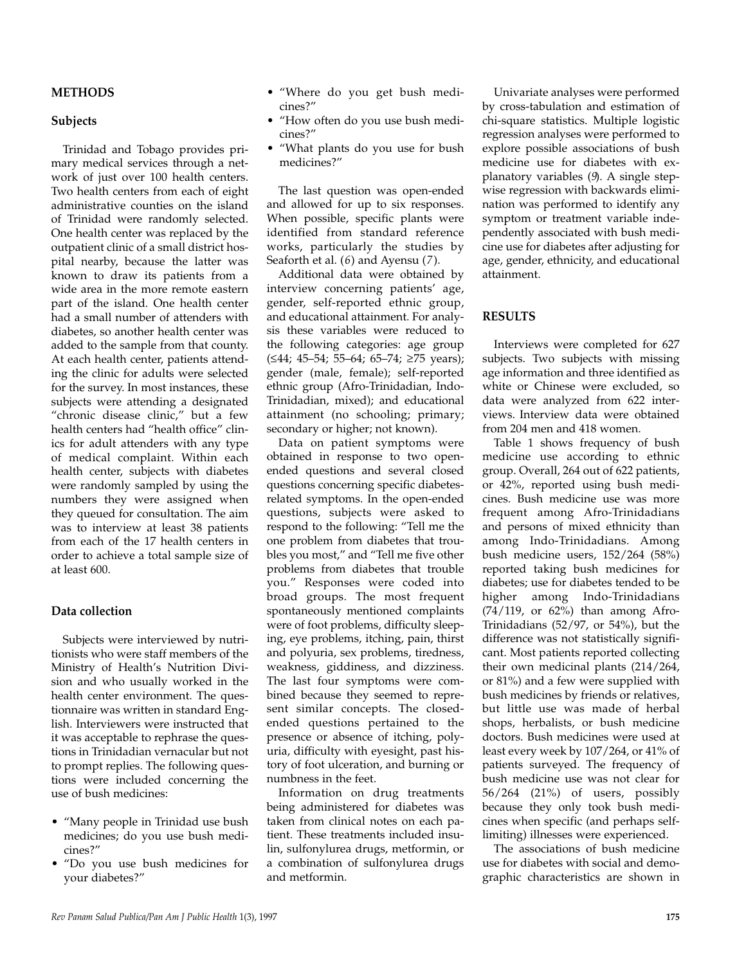### **Subjects**

Trinidad and Tobago provides primary medical services through a network of just over 100 health centers. Two health centers from each of eight administrative counties on the island of Trinidad were randomly selected. One health center was replaced by the outpatient clinic of a small district hospital nearby, because the latter was known to draw its patients from a wide area in the more remote eastern part of the island. One health center had a small number of attenders with diabetes, so another health center was added to the sample from that county. At each health center, patients attending the clinic for adults were selected for the survey. In most instances, these subjects were attending a designated "chronic disease clinic," but a few health centers had "health office" clinics for adult attenders with any type of medical complaint. Within each health center, subjects with diabetes were randomly sampled by using the numbers they were assigned when they queued for consultation. The aim was to interview at least 38 patients from each of the 17 health centers in order to achieve a total sample size of at least 600.

## **Data collection**

Subjects were interviewed by nutritionists who were staff members of the Ministry of Health's Nutrition Division and who usually worked in the health center environment. The questionnaire was written in standard English. Interviewers were instructed that it was acceptable to rephrase the questions in Trinidadian vernacular but not to prompt replies. The following questions were included concerning the use of bush medicines:

- "Many people in Trinidad use bush medicines; do you use bush medicines?"
- "Do you use bush medicines for your diabetes?"
- "Where do you get bush medicines?"
- "How often do you use bush medicines?"
- "What plants do you use for bush medicines?"

The last question was open-ended and allowed for up to six responses. When possible, specific plants were identified from standard reference works, particularly the studies by Seaforth et al. (*6*) and Ayensu (*7*).

Additional data were obtained by interview concerning patients' age, gender, self-reported ethnic group, and educational attainment. For analysis these variables were reduced to the following categories: age group (≤44; 45–54; 55–64; 65–74; ≥75 years); gender (male, female); self-reported ethnic group (Afro-Trinidadian, Indo-Trinidadian, mixed); and educational attainment (no schooling; primary; secondary or higher; not known).

Data on patient symptoms were obtained in response to two openended questions and several closed questions concerning specific diabetesrelated symptoms. In the open-ended questions, subjects were asked to respond to the following: "Tell me the one problem from diabetes that troubles you most," and "Tell me five other problems from diabetes that trouble you." Responses were coded into broad groups. The most frequent spontaneously mentioned complaints were of foot problems, difficulty sleeping, eye problems, itching, pain, thirst and polyuria, sex problems, tiredness, weakness, giddiness, and dizziness. The last four symptoms were combined because they seemed to represent similar concepts. The closedended questions pertained to the presence or absence of itching, polyuria, difficulty with eyesight, past history of foot ulceration, and burning or numbness in the feet.

Information on drug treatments being administered for diabetes was taken from clinical notes on each patient. These treatments included insulin, sulfonylurea drugs, metformin, or a combination of sulfonylurea drugs and metformin.

Univariate analyses were performed by cross-tabulation and estimation of chi-square statistics. Multiple logistic regression analyses were performed to explore possible associations of bush medicine use for diabetes with explanatory variables (*9*). A single stepwise regression with backwards elimination was performed to identify any symptom or treatment variable independently associated with bush medicine use for diabetes after adjusting for age, gender, ethnicity, and educational attainment.

#### **RESULTS**

Interviews were completed for 627 subjects. Two subjects with missing age information and three identified as white or Chinese were excluded, so data were analyzed from 622 interviews. Interview data were obtained from 204 men and 418 women.

Table 1 shows frequency of bush medicine use according to ethnic group. Overall, 264 out of 622 patients, or 42%, reported using bush medicines. Bush medicine use was more frequent among Afro-Trinidadians and persons of mixed ethnicity than among Indo-Trinidadians. Among bush medicine users, 152/264 (58%) reported taking bush medicines for diabetes; use for diabetes tended to be higher among Indo-Trinidadians  $(74/119)$ , or  $62\%$ ) than among Afro-Trinidadians (52/97, or 54%), but the difference was not statistically significant. Most patients reported collecting their own medicinal plants (214/264, or 81%) and a few were supplied with bush medicines by friends or relatives, but little use was made of herbal shops, herbalists, or bush medicine doctors. Bush medicines were used at least every week by 107/264, or 41% of patients surveyed. The frequency of bush medicine use was not clear for 56/264 (21%) of users, possibly because they only took bush medicines when specific (and perhaps selflimiting) illnesses were experienced.

The associations of bush medicine use for diabetes with social and demographic characteristics are shown in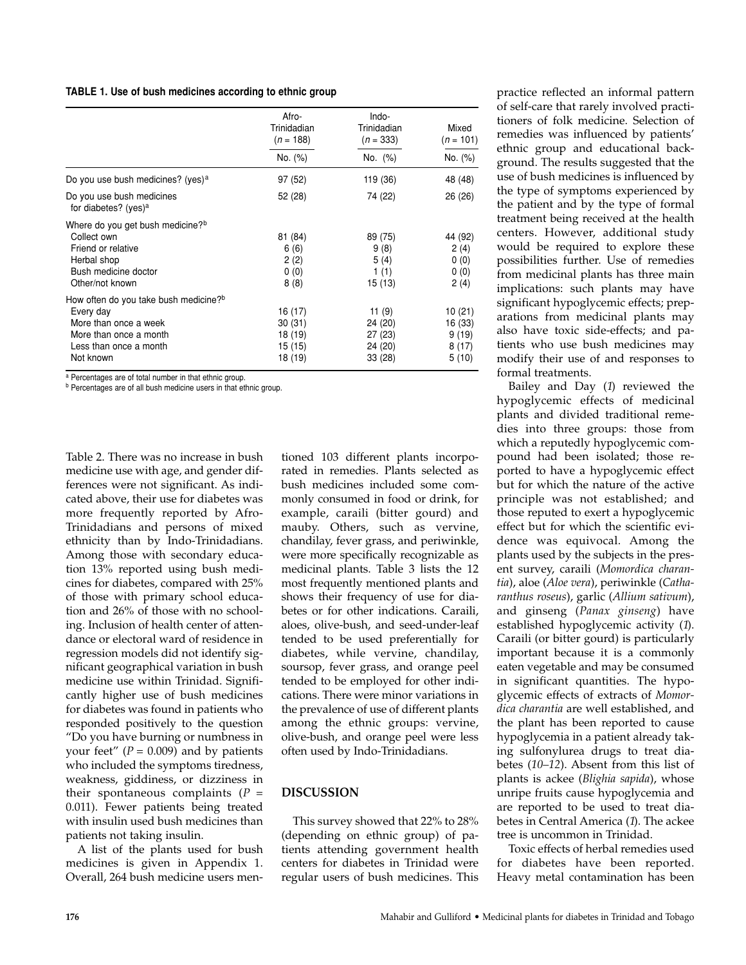#### **TABLE 1. Use of bush medicines according to ethnic group**

|                                                                                                                                                          | Afro-<br>Trinidadian<br>$(n = 188)$                | Indo-<br>Trinidadian<br>$(n = 333)$                 | Mixed<br>$(n = 101)$                          |  |
|----------------------------------------------------------------------------------------------------------------------------------------------------------|----------------------------------------------------|-----------------------------------------------------|-----------------------------------------------|--|
|                                                                                                                                                          | No. (%)                                            | No. (%)                                             | No. (%)                                       |  |
| Do you use bush medicines? (yes) <sup>a</sup>                                                                                                            | 97 (52)                                            | 119 (36)                                            | 48 (48)                                       |  |
| Do you use bush medicines<br>for diabetes? (yes) <sup>a</sup>                                                                                            | 52 (28)                                            | 74 (22)                                             | 26 (26)                                       |  |
| Where do you get bush medicine? <sup>b</sup><br>Collect own<br>Friend or relative<br>Herbal shop<br>Bush medicine doctor<br>Other/not known              | 81 (84)<br>6(6)<br>2(2)<br>0(0)<br>8(8)            | 89 (75)<br>9(8)<br>5(4)<br>1(1)<br>15 (13)          | 44 (92)<br>2(4)<br>0(0)<br>0(0)<br>2(4)       |  |
| How often do you take bush medicine? <sup>b</sup><br>Every day<br>More than once a week<br>More than once a month<br>Less than once a month<br>Not known | 16 (17)<br>30(31)<br>18 (19)<br>15 (15)<br>18 (19) | 11 $(9)$<br>24 (20)<br>27(23)<br>24 (20)<br>33 (28) | 10 (21)<br>16 (33)<br>9(19)<br>8(17)<br>5(10) |  |

<sup>a</sup> Percentages are of total number in that ethnic group.

<sup>b</sup> Percentages are of all bush medicine users in that ethnic group.

Table 2. There was no increase in bush medicine use with age, and gender differences were not significant. As indicated above, their use for diabetes was more frequently reported by Afro-Trinidadians and persons of mixed ethnicity than by Indo-Trinidadians. Among those with secondary education 13% reported using bush medicines for diabetes, compared with 25% of those with primary school education and 26% of those with no schooling. Inclusion of health center of attendance or electoral ward of residence in regression models did not identify significant geographical variation in bush medicine use within Trinidad. Significantly higher use of bush medicines for diabetes was found in patients who responded positively to the question "Do you have burning or numbness in your feet" ( $P = 0.009$ ) and by patients who included the symptoms tiredness, weakness, giddiness, or dizziness in their spontaneous complaints  $(P =$ 0.011). Fewer patients being treated with insulin used bush medicines than patients not taking insulin.

A list of the plants used for bush medicines is given in Appendix 1. Overall, 264 bush medicine users men-

tioned 103 different plants incorporated in remedies. Plants selected as bush medicines included some commonly consumed in food or drink, for example, caraili (bitter gourd) and mauby. Others, such as vervine, chandilay, fever grass, and periwinkle, were more specifically recognizable as medicinal plants. Table 3 lists the 12 most frequently mentioned plants and shows their frequency of use for diabetes or for other indications. Caraili, aloes, olive-bush, and seed-under-leaf tended to be used preferentially for diabetes, while vervine, chandilay, soursop, fever grass, and orange peel tended to be employed for other indications. There were minor variations in the prevalence of use of different plants among the ethnic groups: vervine, olive-bush, and orange peel were less often used by Indo-Trinidadians.

## **DISCUSSION**

This survey showed that 22% to 28% (depending on ethnic group) of patients attending government health centers for diabetes in Trinidad were regular users of bush medicines. This

practice reflected an informal pattern of self-care that rarely involved practitioners of folk medicine. Selection of remedies was influenced by patients' ethnic group and educational background. The results suggested that the use of bush medicines is influenced by the type of symptoms experienced by the patient and by the type of formal treatment being received at the health centers. However, additional study would be required to explore these possibilities further. Use of remedies from medicinal plants has three main implications: such plants may have significant hypoglycemic effects; preparations from medicinal plants may also have toxic side-effects; and patients who use bush medicines may modify their use of and responses to formal treatments.

Bailey and Day (*1*) reviewed the hypoglycemic effects of medicinal plants and divided traditional remedies into three groups: those from which a reputedly hypoglycemic compound had been isolated; those reported to have a hypoglycemic effect but for which the nature of the active principle was not established; and those reputed to exert a hypoglycemic effect but for which the scientific evidence was equivocal. Among the plants used by the subjects in the present survey, caraili (*Momordica charantia*), aloe (*Aloe vera*), periwinkle (*Catharanthus roseus*), garlic (*Allium sativum*), and ginseng (*Panax ginseng*) have established hypoglycemic activity (*1*). Caraili (or bitter gourd) is particularly important because it is a commonly eaten vegetable and may be consumed in significant quantities. The hypoglycemic effects of extracts of *Momordica charantia* are well established, and the plant has been reported to cause hypoglycemia in a patient already taking sulfonylurea drugs to treat diabetes (*10–12*). Absent from this list of plants is ackee (*Blighia sapida*), whose unripe fruits cause hypoglycemia and are reported to be used to treat diabetes in Central America (*1*). The ackee tree is uncommon in Trinidad.

Toxic effects of herbal remedies used for diabetes have been reported. Heavy metal contamination has been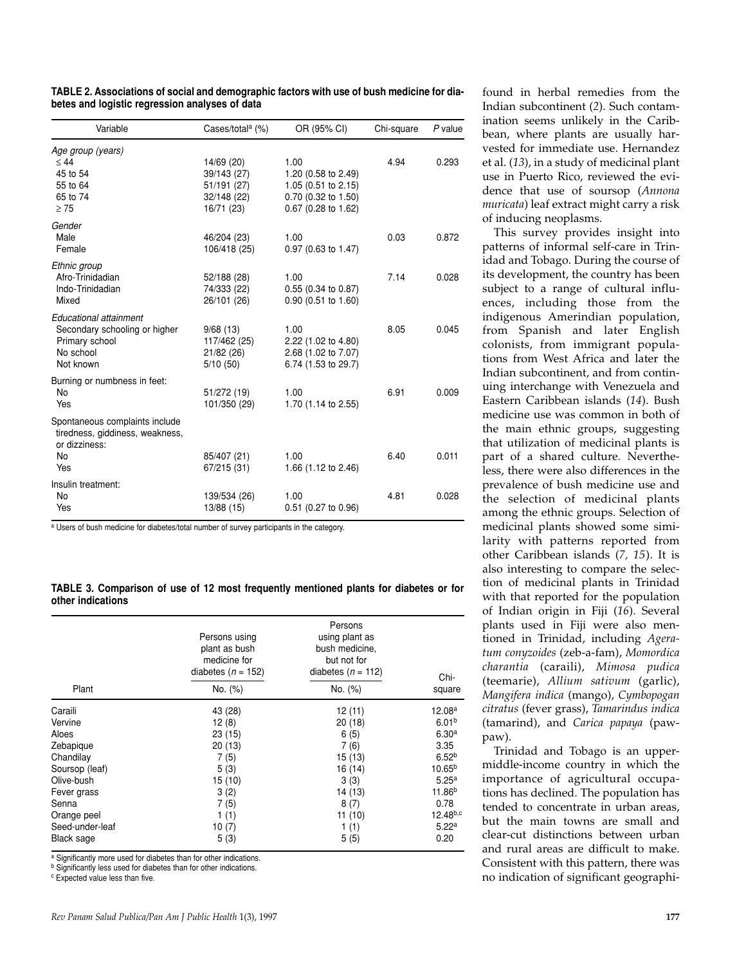| TABLE 2. Associations of social and demographic factors with use of bush medicine for dia- |  |
|--------------------------------------------------------------------------------------------|--|
| betes and logistic regression analyses of data                                             |  |

| Variable                                                                                            | Cases/total <sup>a</sup> (%)                            | OR (95% CI)                                                                              | Chi-square | $P$ value |
|-----------------------------------------------------------------------------------------------------|---------------------------------------------------------|------------------------------------------------------------------------------------------|------------|-----------|
| Age group (years)<br>$\leq 44$                                                                      | 14/69 (20)                                              | 1.00                                                                                     | 4.94       | 0.293     |
| 45 to 54<br>55 to 64<br>65 to 74<br>$\geq 75$                                                       | 39/143 (27)<br>51/191 (27)<br>32/148 (22)<br>16/71 (23) | 1.20 (0.58 to 2.49)<br>1.05 (0.51 to 2.15)<br>0.70 (0.32 to 1.50)<br>0.67 (0.28 to 1.62) |            |           |
| Gender<br>Male<br>Female                                                                            | 46/204 (23)<br>106/418 (25)                             | 1.00<br>0.97 (0.63 to 1.47)                                                              | 0.03       | 0.872     |
| Ethnic group<br>Afro-Trinidadian<br>Indo-Trinidadian<br>Mixed                                       | 52/188 (28)<br>74/333 (22)<br>26/101 (26)               | 1.00<br>0.55 (0.34 to 0.87)<br>$0.90$ (0.51 to 1.60)                                     | 7.14       | 0.028     |
| Educational attainment<br>Secondary schooling or higher<br>Primary school<br>No school<br>Not known | 9/68(13)<br>117/462 (25)<br>21/82 (26)<br>5/10(50)      | 1.00<br>2.22 (1.02 to 4.80)<br>2.68 (1.02 to 7.07)<br>6.74 (1.53 to 29.7)                | 8.05       | 0.045     |
| Burning or numbness in feet:<br><b>No</b><br>Yes                                                    | 51/272 (19)<br>101/350 (29)                             | 1.00<br>1.70 (1.14 to 2.55)                                                              | 6.91       | 0.009     |
| Spontaneous complaints include<br>tiredness, giddiness, weakness,<br>or dizziness:<br>No<br>Yes     | 85/407 (21)<br>67/215 (31)                              | 1.00<br>1.66 (1.12 to 2.46)                                                              | 6.40       | 0.011     |
| Insulin treatment:<br>No<br>Yes                                                                     | 139/534 (26)<br>13/88 (15)                              | 1.00<br>0.51 (0.27 to 0.96)                                                              | 4.81       | 0.028     |

<sup>a</sup> Users of bush medicine for diabetes/total number of survey participants in the category.

#### **TABLE 3. Comparison of use of 12 most frequently mentioned plants for diabetes or for other indications**

|                 | Persons using<br>plant as bush<br>medicine for<br>diabetes ( $n = 152$ ) | Persons<br>using plant as<br>bush medicine.<br>but not for<br>diabetes $(n = 112)$ | Chi-               |
|-----------------|--------------------------------------------------------------------------|------------------------------------------------------------------------------------|--------------------|
| Plant           | No. (%)                                                                  | No. (%)                                                                            | square             |
| Caraili         | 43 (28)                                                                  | 12(11)                                                                             | 12.08a             |
| Vervine         | 12(8)                                                                    | 20(18)                                                                             | 6.01 <sup>b</sup>  |
| Aloes           | 23(15)                                                                   | 6(5)                                                                               | 6.30 <sup>a</sup>  |
| Zebapique       | 20(13)                                                                   | 7(6)                                                                               | 3.35               |
| Chandilay       | 7(5)                                                                     | 15(13)                                                                             | 6.52 <sup>b</sup>  |
| Soursop (leaf)  | 5(3)                                                                     | 16 (14)                                                                            | 10.65 <sup>b</sup> |
| Olive-bush      | 15(10)                                                                   | 3(3)                                                                               | 5.25 <sup>a</sup>  |
| Fever grass     | 3(2)                                                                     | 14 (13)                                                                            | 11.86 <sup>b</sup> |
| Senna           | 7(5)                                                                     | 8(7)                                                                               | 0.78               |
| Orange peel     | 1(1)                                                                     | 11(10)                                                                             | $12.48^{b,c}$      |
| Seed-under-leaf | 10(7)                                                                    | 1(1)                                                                               | 5.22 <sup>a</sup>  |
| Black sage      | 5(3)                                                                     | 5(5)                                                                               | 0.20               |

a Significantly more used for diabetes than for other indications.

<sup>b</sup> Significantly less used for diabetes than for other indications.

<sup>c</sup> Expected value less than five.

found in herbal remedies from the Indian subcontinent (*2*). Such contamination seems unlikely in the Caribbean, where plants are usually harvested for immediate use. Hernandez et al. (*13*), in a study of medicinal plant use in Puerto Rico, reviewed the evidence that use of soursop (*Annona muricata*) leaf extract might carry a risk of inducing neoplasms.

This survey provides insight into patterns of informal self-care in Trinidad and Tobago. During the course of its development, the country has been subject to a range of cultural influences, including those from the indigenous Amerindian population, from Spanish and later English colonists, from immigrant populations from West Africa and later the Indian subcontinent, and from continuing interchange with Venezuela and Eastern Caribbean islands (*14*). Bush medicine use was common in both of the main ethnic groups, suggesting that utilization of medicinal plants is part of a shared culture. Nevertheless, there were also differences in the prevalence of bush medicine use and the selection of medicinal plants among the ethnic groups. Selection of medicinal plants showed some similarity with patterns reported from other Caribbean islands (*7, 15*). It is also interesting to compare the selection of medicinal plants in Trinidad with that reported for the population of Indian origin in Fiji (*16*). Several plants used in Fiji were also mentioned in Trinidad, including *Ageratum conyzoides* (zeb-a-fam), *Momordica charantia* (caraili), *Mimosa pudica* (teemarie), *Allium sativum* (garlic), *Mangifera indica* (mango), *Cymbopogan citratus* (fever grass), *Tamarindus indica* (tamarind), and *Carica papaya* (pawpaw).

Trinidad and Tobago is an uppermiddle-income country in which the importance of agricultural occupations has declined. The population has tended to concentrate in urban areas, but the main towns are small and clear-cut distinctions between urban and rural areas are difficult to make. Consistent with this pattern, there was no indication of significant geographi-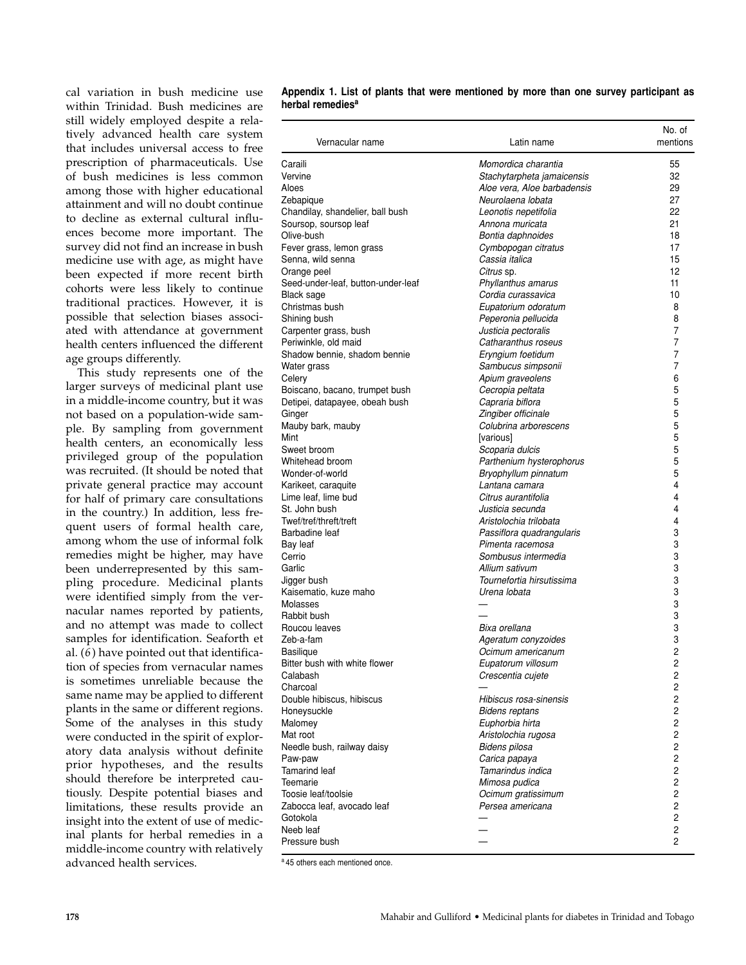cal variation in bush medicine use within Trinidad. Bush medicines are still widely employed despite a relatively advanced health care system that includes universal access to free prescription of pharmaceuticals. Use of bush medicines is less common among those with higher educational attainment and will no doubt continue to decline as external cultural influences become more important. The survey did not find an increase in bush medicine use with age, as might have been expected if more recent birth cohorts were less likely to continue traditional practices. However, it is possible that selection biases associated with attendance at government health centers influenced the different age groups differently.

This study represents one of the larger surveys of medicinal plant use in a middle-income country, but it was not based on a population-wide sample. By sampling from government health centers, an economically less privileged group of the population was recruited. (It should be noted that private general practice may account for half of primary care consultations in the country.) In addition, less frequent users of formal health care, among whom the use of informal folk remedies might be higher, may have been underrepresented by this sampling procedure. Medicinal plants were identified simply from the vernacular names reported by patients, and no attempt was made to collect samples for identification. Seaforth et al. (*6*) have pointed out that identification of species from vernacular names is sometimes unreliable because the same name may be applied to different plants in the same or different regions. Some of the analyses in this study were conducted in the spirit of exploratory data analysis without definite prior hypotheses, and the results should therefore be interpreted cautiously. Despite potential biases and limitations, these results provide an insight into the extent of use of medicinal plants for herbal remedies in a middle-income country with relatively advanced health services.

| Appendix 1. List of plants that were mentioned by more than one survey participant as |  |  |  |  |
|---------------------------------------------------------------------------------------|--|--|--|--|
| herbal remedies <sup>a</sup>                                                          |  |  |  |  |

| Vernacular name                    | Latin name                  | No. of<br>mentions |
|------------------------------------|-----------------------------|--------------------|
| Caraili                            | Momordica charantia         | 55                 |
| Vervine                            | Stachytarpheta jamaicensis  | 32                 |
| Aloes                              | Aloe vera. Aloe barbadensis | 29                 |
| Zebapique                          | Neurolaena lobata           | 27                 |
| Chandilay, shandelier, ball bush   | Leonotis nepetifolia        | 22                 |
| Soursop, soursop leaf              | Annona muricata             | 21                 |
| Olive-bush                         | Bontia daphnoides           | 18                 |
| Fever grass, lemon grass           | Cymbopogan citratus         | 17                 |
| Senna, wild senna                  | Cassia italica              | 15                 |
| Orange peel                        | Citrus sp.                  | 12                 |
| Seed-under-leaf, button-under-leaf | Phyllanthus amarus          | 11                 |
| <b>Black sage</b>                  | Cordia curassavica          | 10                 |
| Christmas bush                     | Eupatorium odoratum         | 8                  |
| Shining bush                       | Peperonia pellucida         | 8                  |
| Carpenter grass, bush              | Justicia pectoralis         | 7                  |
| Periwinkle, old maid               | Catharanthus roseus         | 7                  |
| Shadow bennie, shadom bennie       | Eryngium foetidum           | 7                  |
| Water grass                        | Sambucus simpsonii          | 7                  |
| Celery                             | Apium graveolens            | 6                  |
| Boiscano, bacano, trumpet bush     | Cecropia peltata            | 5                  |
| Detipei, datapayee, obeah bush     | Capraria biflora            | 5                  |
| Ginger                             | Zingiber officinale         | 5                  |
| Mauby bark, mauby                  | Colubrina arborescens       | 5                  |
| Mint                               | [various]                   | 5                  |
| Sweet broom                        | Scoparia dulcis             | 5                  |
| Whitehead broom                    | Parthenium hysterophorus    | 5                  |
| Wonder-of-world                    | Bryophyllum pinnatum        | 5                  |
| Karikeet, caraquite                | Lantana camara              | 4                  |
| Lime leaf, lime bud                | Citrus aurantifolia         | 4                  |
| St. John bush                      | Justicia secunda            | 4                  |
| Twef/tref/threft/treft             | Aristolochia trilobata      | 4                  |
| Barbadine leaf                     | Passiflora quadrangularis   | 3                  |
| Bay leaf                           | Pimenta racemosa            | 3                  |
| Cerrio                             | Sombusus intermedia         | 3                  |
| Garlic                             | Allium sativum              | 3                  |
| Jigger bush                        | Tournefortia hirsutissima   | 3                  |
| Kaisematio, kuze maho              | Urena lobata                | 3                  |
| Molasses                           |                             | 3                  |
| Rabbit bush                        |                             | 3                  |
| Roucou leaves                      | Bixa orellana               | 3                  |
| Zeb-a-fam                          | Ageratum conyzoides         | 3                  |
| Basilique                          | Ocimum americanum           | 2                  |
| Bitter bush with white flower      | Eupatorum villosum          | 2                  |
| Calabash                           | Crescentia cujete           | 2                  |
| Charcoal                           |                             | 2                  |
| Double hibiscus, hibiscus          | Hibiscus rosa-sinensis      | $\overline{c}$     |
| Honeysuckle                        | <b>Bidens reptans</b>       | 2                  |
| Malomey                            | Euphorbia hirta             | 2                  |
| Mat root                           | Aristolochia rugosa         | 2                  |
| Needle bush, railway daisy         | Bidens pilosa               | 2                  |
| Paw-paw                            | Carica papaya               | 2                  |
| <b>Tamarind leaf</b>               | Tamarindus indica           | 2                  |
| Teemarie                           | Mimosa pudica               | 2                  |
| Toosie leaf/toolsie                | Ocimum gratissimum          | $\overline{c}$     |
| Zabocca leaf, avocado leaf         | Persea americana            | 2                  |
| Gotokola                           |                             | 2                  |
| Neeb leaf                          |                             | $\overline{c}$     |
| Pressure bush                      |                             | 2                  |
|                                    |                             |                    |

a 45 others each mentioned once.